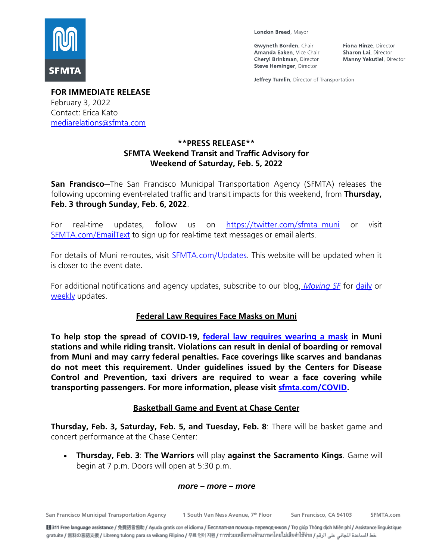

London Breed, Mayor

**Gwyneth Borden**, Chair Amanda Eaken, Vice Chair **Cheryl Brinkman, Director** Steve Heminger, Director

Fiona Hinze, Director **Sharon Lai**, Director **Manny Yekutiel, Director** 

Jeffrey Tumlin, Director of Transportation

**FOR IMMEDIATE RELEASE** February 3, 2022 Contact: Erica Kato [mediarelations@sfmta.com](mailto:mediarelations@sfmta.com)

## **\*\*PRESS RELEASE\*\* SFMTA Weekend Transit and Traffic Advisory for Weekend of Saturday, Feb. 5, 2022**

**San Francisco**—The San Francisco Municipal Transportation Agency (SFMTA) releases the following upcoming event-related traffic and transit impacts for this weekend, from **Thursday, Feb. 3 through Sunday, Feb. 6, 2022**.

For real-time updates, follow us on [https://twitter.com/sfmta\\_muni](https://twitter.com/sfmta_muni) or visit [SFMTA.com/EmailText](https://www.sfmta.com/about-us/contact-us/email-and-text-alerts) to sign up for real-time text messages or email alerts.

For details of Muni re-routes, visit **SFMTA.com/Updates**. This website will be updated when it is closer to the event date.

For additional notifications and agency updates, subscribe to our blog, *[Moving](https://www.sfmta.com/about-sfmta/blog) SF* for [daily](https://www.sfmta.com/signup-alerts?sfid=701t0000000iMowAAE) or [weekly](https://www.sfmta.com/signup-alerts?sfid=701t0000000iMoxAAE) updates.

### **Federal Law Requires Face Masks on Muni**

**To help stop the spread of COVID-19, federal law [requires wearing a mask](https://www.cdc.gov/coronavirus/2019-ncov/travelers/face-masks-public-transportation.html) in Muni stations and while riding transit. Violations can result in denial of boarding or removal from Muni and may carry federal penalties. Face coverings like scarves and bandanas do not meet this requirement. Under guidelines issued by the Centers for Disease Control and Prevention, taxi drivers are required to wear a face covering while transporting passengers. For more information, please visit [sfmta.com/COVID.](https://www.sfmta.com/projects/covid-19-developments-response)**

### **Basketball Game and Event at Chase Center**

**Thursday, Feb. 3, Saturday, Feb. 5, and Tuesday, Feb. 8**: There will be basket game and concert performance at the Chase Center:

• **Thursday, Feb. 3**: **The Warriors** will play **against the Sacramento Kings**. Game will begin at 7 p.m. Doors will open at 5:30 p.m.

#### *more – more – more*

**San Francisco Municipal Transportation Agency 1 South Van Ness Avenue, 7**

**th Floor San Francisco, CA 94103 SFMTA.com**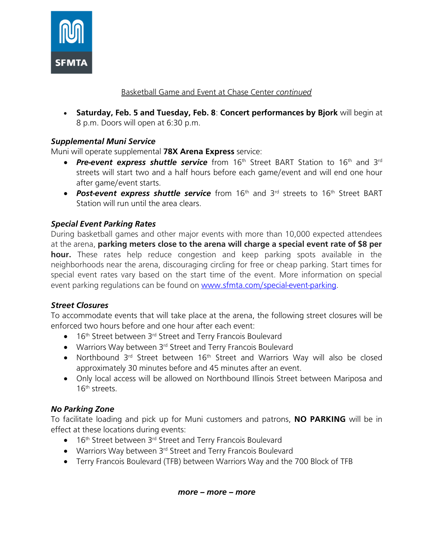

#### Basketball Game and Event at Chase Center *continued*

• **Saturday, Feb. 5 and Tuesday, Feb. 8**: **Concert performances by Bjork** will begin at 8 p.m. Doors will open at 6:30 p.m.

### *Supplemental Muni Service*

Muni will operate supplemental **78X Arena Express** service:

- Pre-event express shuttle service from 16<sup>th</sup> Street BART Station to 16<sup>th</sup> and 3<sup>rd</sup> streets will start two and a half hours before each game/event and will end one hour after game/event starts.
- **Post-event express shuttle service** from 16<sup>th</sup> and 3<sup>rd</sup> streets to 16<sup>th</sup> Street BART Station will run until the area clears.

#### *Special Event Parking Rates*

During basketball games and other major events with more than 10,000 expected attendees at the arena, **parking meters close to the arena will charge a special event rate of \$8 per hour.** These rates help reduce congestion and keep parking spots available in the neighborhoods near the arena, discouraging circling for free or cheap parking. Start times for special event rates vary based on the start time of the event. More information on special event parking regulations can be found on [www.sfmta.com/special-event-parking.](https://www.sfmta.com/getting-around/drive-park/oracle-park-and-chase-center-special-event-parking-regulations)

#### *Street Closures*

To accommodate events that will take place at the arena, the following street closures will be enforced two hours before and one hour after each event:

- 16<sup>th</sup> Street between 3<sup>rd</sup> Street and Terry Francois Boulevard
- Warriors Way between 3<sup>rd</sup> Street and Terry Francois Boulevard
- Northbound 3<sup>rd</sup> Street between 16<sup>th</sup> Street and Warriors Way will also be closed approximately 30 minutes before and 45 minutes after an event.
- Only local access will be allowed on Northbound Illinois Street between Mariposa and 16th streets.

#### *No Parking Zone*

To facilitate loading and pick up for Muni customers and patrons, **NO PARKING** will be in effect at these locations during events:

- $\bullet$  16<sup>th</sup> Street between 3<sup>rd</sup> Street and Terry Francois Boulevard
- Warriors Way between 3<sup>rd</sup> Street and Terry Francois Boulevard
- Terry Francois Boulevard (TFB) between Warriors Way and the 700 Block of TFB

*more – more – more*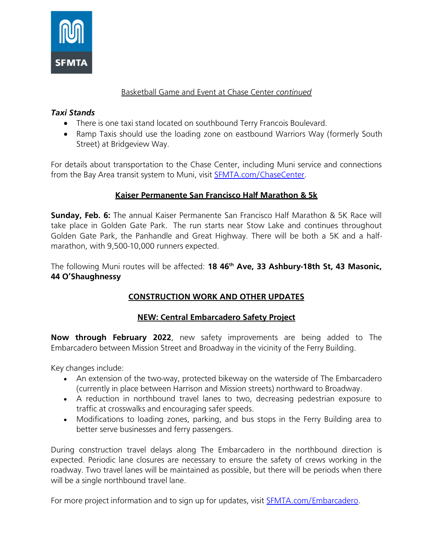

### Basketball Game and Event at Chase Center *continued*

## *Taxi Stands*

- There is one taxi stand located on southbound Terry Francois Boulevard.
- Ramp Taxis should use the loading zone on eastbound Warriors Way (formerly South Street) at Bridgeview Way.

For details about transportation to the Chase Center, including Muni service and connections from the Bay Area transit system to Muni, visit **[SFMTA.com/ChaseCenter.](https://www.sfmta.com/places/chase-center#Muni)** 

# **Kaiser Permanente San Francisco Half Marathon & 5k**

**Sunday, Feb. 6:** The annual Kaiser Permanente San Francisco Half Marathon & 5K Race will take place in Golden Gate Park. The run starts near Stow Lake and continues throughout Golden Gate Park, the Panhandle and Great Highway. There will be both a 5K and a halfmarathon, with 9,500-10,000 runners expected.

The following Muni routes will be affected: **18 46th Ave, 33 Ashbury-18th St, 43 Masonic, 44 O'Shaughnessy**

# **CONSTRUCTION WORK AND OTHER UPDATES**

### **NEW: Central Embarcadero Safety Project**

**Now through February 2022**, new safety improvements are being added to The Embarcadero between Mission Street and Broadway in the vicinity of the Ferry Building.

Key changes include:

- An extension of the two-way, protected bikeway on the waterside of The Embarcadero (currently in place between Harrison and Mission streets) northward to Broadway.
- A reduction in northbound travel lanes to two, decreasing pedestrian exposure to traffic at crosswalks and encouraging safer speeds.
- Modifications to loading zones, parking, and bus stops in the Ferry Building area to better serve businesses and ferry passengers.

During construction travel delays along The Embarcadero in the northbound direction is expected. Periodic lane closures are necessary to ensure the safety of crews working in the roadway. Two travel lanes will be maintained as possible, but there will be periods when there will be a single northbound travel lane.

For more project information and to sign up for updates, visit **[SFMTA.com/Embarcadero.](https://www.sfmta.com/projects/embarcadero-enhancement-program)**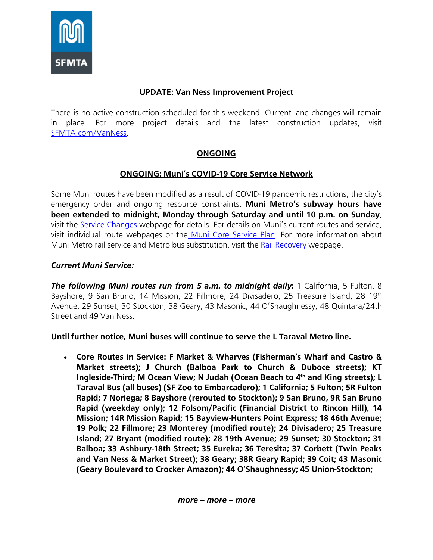

#### **UPDATE: Van Ness Improvement Project**

There is no active construction scheduled for this weekend. Current lane changes will remain in place. For more project details and the latest construction updates, visi[t](https://www.sfmta.com/projects/van-ness-improvement-project) [SFMTA.com/VanNess.](https://www.sfmta.com/projects/van-ness-improvement-project)

# **ONGOING**

#### **ONGOING: Muni's COVID-19 Core Service Network**

Some Muni routes have been modified as a result of COVID-19 pandemic restrictions, the city's emergency order and ongoing resource constraints. **Muni Metro's subway hours have been extended to midnight, Monday through Saturday and until 10 p.m. on Sunday**, visit the [Service Changes](https://www.sfmta.com/blog/late-night-metro-and-more-j-church-service-starts-october-2-2021) webpage for details. For details on Muni's current routes and service, visit individual route webpages or the Muni [Core Service](https://www.sfmta.com/travel-updates/covid-19-muni-core-service-plan) Plan. For more information about Muni Metro rail service and Metro bus substitution, visit the [Rail Recovery](https://www.sfmta.com/projects/rail-recovery) webpage.

#### *Current Muni Service:*

*The following Muni routes run from 5 a.m. to midnight daily***:** 1 California, 5 Fulton, 8 Bayshore, 9 San Bruno, 14 Mission, 22 Fillmore, 24 Divisadero, 25 Treasure Island, 28 19<sup>th</sup> Avenue, 29 Sunset, 30 Stockton, 38 Geary, 43 Masonic, 44 O'Shaughnessy, 48 Quintara/24th Street and 49 Van Ness.

**Until further notice, Muni buses will continue to serve the L Taraval Metro line.**

• **Core Routes in Service: F Market & Wharves (Fisherman's Wharf and Castro & Market streets); J Church (Balboa Park to Church & Duboce streets); KT Ingleside-Third; M Ocean View; N Judah (Ocean Beach to 4th and King streets); L Taraval Bus (all buses) (SF Zoo to Embarcadero); 1 California; 5 Fulton; 5R Fulton Rapid; 7 Noriega; 8 Bayshore (rerouted to Stockton); 9 San Bruno, 9R San Bruno Rapid (weekday only); 12 Folsom/Pacific (Financial District to Rincon Hill), 14 Mission; 14R Mission Rapid; 15 Bayview-Hunters Point Express; 18 46th Avenue; 19 Polk; 22 Fillmore; 23 Monterey (modified route); 24 Divisadero; 25 Treasure Island; 27 Bryant (modified route); 28 19th Avenue; 29 Sunset; 30 Stockton; 31 Balboa; 33 Ashbury-18th Street; 35 Eureka; 36 Teresita; 37 Corbett (Twin Peaks and Van Ness & Market Street); 38 Geary; 38R Geary Rapid; 39 Coit; 43 Masonic (Geary Boulevard to Crocker Amazon); 44 O'Shaughnessy; 45 Union-Stockton;**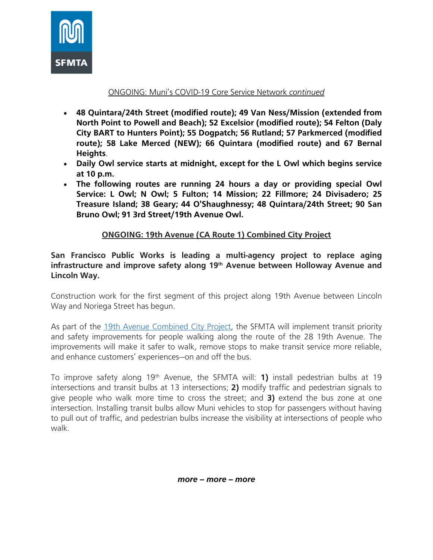

#### ONGOING: Muni's COVID-19 Core Service Network *continued*

- **48 Quintara/24th Street (modified route); 49 Van Ness/Mission (extended from North Point to Powell and Beach); 52 Excelsior (modified route); 54 Felton (Daly City BART to Hunters Point); 55 Dogpatch; 56 Rutland; 57 Parkmerced (modified route); 58 Lake Merced (NEW); 66 Quintara (modified route) and 67 Bernal Heights**.
- **Daily Owl service starts at midnight, except for the L Owl which begins service at 10 p.m.**
- **The following routes are running 24 hours a day or providing special Owl Service: L Owl; N Owl; 5 Fulton; 14 Mission; 22 Fillmore; 24 Divisadero; 25 Treasure Island; 38 Geary; 44 O'Shaughnessy; 48 Quintara/24th Street; 90 San Bruno Owl; 91 3rd Street/19th Avenue Owl.**

# **ONGOING: 19th Avenue (CA Route 1) Combined City Project**

**San Francisco Public Works is leading a multi-agency project to replace aging infrastructure and improve safety along 19 th Avenue between Holloway Avenue and Lincoln Way.**

Construction work for the first segment of this project along 19th Avenue between Lincoln Way and Noriega Street has begun.

As part of the [19th Avenue](https://www.sfpublicworks.org/19th-Avenue) Combined City Project, the SFMTA will implement transit priority and safety improvements for people walking along the route of the 28 19th Avenue. The improvements will make it safer to walk, remove stops to make transit service more reliable, and enhance customers' experiences—on and off the bus.

To improve safety along 19<sup>th</sup> Avenue, the SFMTA will: **1)** install pedestrian bulbs at 19 intersections and transit bulbs at 13 intersections; **2)** modify traffic and pedestrian signals to give people who walk more time to cross the street; and **3)** extend the bus zone at one intersection. Installing transit bulbs allow Muni vehicles to stop for passengers without having to pull out of traffic, and pedestrian bulbs increase the visibility at intersections of people who walk.

*more – more – more*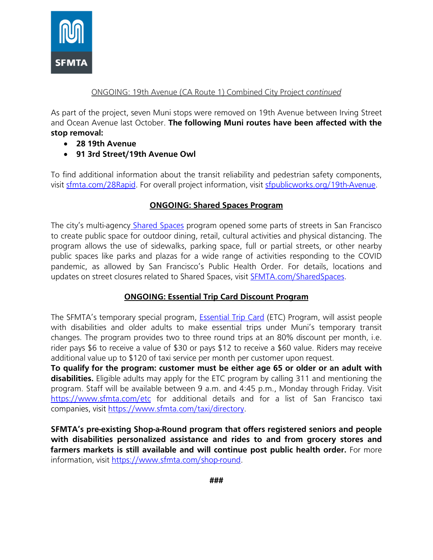

#### ONGOING: 19th Avenue (CA Route 1) Combined City Project *continued*

As part of the project, seven Muni stops were removed on 19th Avenue between Irving Street and Ocean Avenue last October. **The following Muni routes have been affected with the stop removal:**

- **28 19th Avenue**
- **91 3rd Street/19th Avenue Owl**

To find additional information about the transit reliability and pedestrian safety components, visit [sfmta.com/28Rapid.](https://www.sfmta.com/projects/28-19th-avenue-rapid-project) For overall project information, visit [sfpublicworks.org/19th-Avenue.](http://sfpublicworks.org/19th-Avenue)

### **ONGOING: Shared Spaces Program**

The city's multi-agency [Shared Spaces](https://sf.gov/shared-spaces) program opened some parts of streets in San Francisco to create public space for outdoor dining, retail, cultural activities and physical distancing. The program allows the use of sidewalks, parking space, full or partial streets, or other nearby public spaces like parks and plazas for a wide range of activities responding to the COVID pandemic, as allowed by San Francisco's Public Health Order. For details, locations and updates on street closures related to Shared Spaces, visit [SFMTA.com/SharedSpaces.](https://www.sfmta.com/projects/shared-spaces)

### **ONGOING: Essential Trip Card Discount Program**

The SFMTA's temporary special program, **Essential [Trip Card](https://www.sfmta.com/getting-around/accessibility/paratransit/essential-trip-card)** (ETC) Program, will assist people with disabilities and older adults to make essential trips under Muni's temporary transit changes. The program provides two to three round trips at an 80% discount per month, i.e. rider pays \$6 to receive a value of \$30 or pays \$12 to receive a \$60 value. Riders may receive additional value up to \$120 of taxi service per month per customer upon request.

**To qualify for the program: customer must be either age 65 or older or an adult with disabilities.** Eligible adults may apply for the ETC program by calling 311 and mentioning the program. Staff will be available between 9 a.m. and 4:45 p.m., Monday through Friday. Visit <https://www.sfmta.com/etc> for additional details and for a list of San Francisco taxi companies, visit [https://www.sfmta.com/taxi/directory.](https://www.sfmta.com/getting-around/taxi/directory)

**SFMTA's pre-existing Shop-a-Round program that offers registered seniors and people with disabilities personalized assistance and rides to and from grocery stores and farmers markets is still available and will continue post public health order.** For more information, visit [https://www.sfmta.com/shop-round.](https://www.sfmta.com/getting-around/accessibility/shop-round)